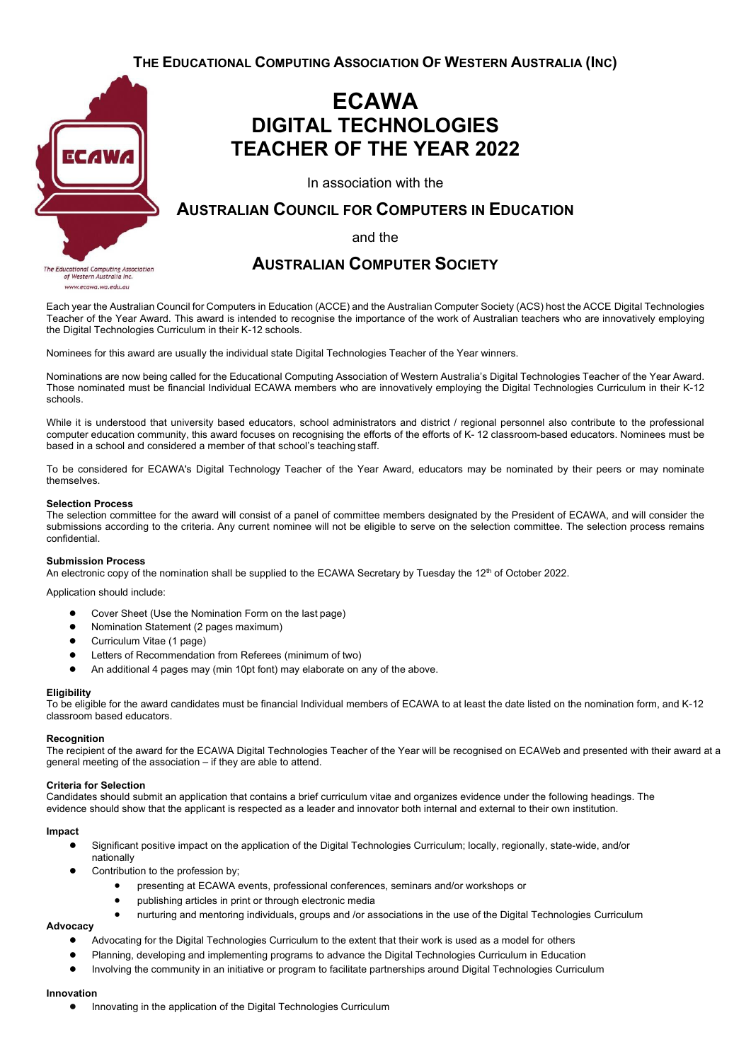**THE EDUCATIONAL COMPUTING ASSOCIATION OF WESTERN AUSTRALIA (INC)**



www.ecawa.wa.edu.au

## **ECAWA DIGITAL TECHNOLOGIES TEACHER OF THE YEAR 2022**

In association with the

### **AUSTRALIAN COUNCIL FOR COMPUTERS IN EDUCATION**

and the

### **AUSTRALIAN COMPUTER SOCIETY**

Each year the Australian Council for Computers in Education (ACCE) and the Australian Computer Society (ACS) host the ACCE Digital Technologies Teacher of the Year Award. This award is intended to recognise the importance of the work of Australian teachers who are innovatively employing the Digital Technologies Curriculum in their K-12 schools.

Nominees for this award are usually the individual state Digital Technologies Teacher of the Year winners.

Nominations are now being called for the Educational Computing Association of Western Australia's Digital Technologies Teacher of the Year Award. Those nominated must be financial Individual ECAWA members who are innovatively employing the Digital Technologies Curriculum in their K-12 schools.

While it is understood that university based educators, school administrators and district / regional personnel also contribute to the professional computer education community, this award focuses on recognising the efforts of the efforts of K- 12 classroom-based educators. Nominees must be based in a school and considered a member of that school's teaching staff.

To be considered for ECAWA's Digital Technology Teacher of the Year Award, educators may be nominated by their peers or may nominate themselves.

#### **Selection Process**

The selection committee for the award will consist of a panel of committee members designated by the President of ECAWA, and will consider the submissions according to the criteria. Any current nominee will not be eligible to serve on the selection committee. The selection process remains confidential.

#### **Submission Process**

An electronic copy of the nomination shall be supplied to the ECAWA Secretary by Tuesday the 12<sup>th</sup> of October 2022.

Application should include:

- Cover Sheet (Use the Nomination Form on the last page)
- Nomination Statement (2 pages maximum)
- Curriculum Vitae (1 page)
- Letters of Recommendation from Referees (minimum of two)
- An additional 4 pages may (min 10pt font) may elaborate on any of the above.

#### **Eligibility**

To be eligible for the award candidates must be financial Individual members of ECAWA to at least the date listed on the nomination form, and K-12 classroom based educators.

#### **Recognition**

The recipient of the award for the ECAWA Digital Technologies Teacher of the Year will be recognised on ECAWeb and presented with their award at a general meeting of the association – if they are able to attend.

#### **Criteria for Selection**

Candidates should submit an application that contains a brief curriculum vitae and organizes evidence under the following headings. The evidence should show that the applicant is respected as a leader and innovator both internal and external to their own institution.

#### **Impact**

- Significant positive impact on the application of the Digital Technologies Curriculum; locally, regionally, state-wide, and/or nationally
- Contribution to the profession by;
	- presenting at ECAWA events, professional conferences, seminars and/or workshops or
	- publishing articles in print or through electronic media
	- nurturing and mentoring individuals, groups and /or associations in the use of the Digital Technologies Curriculum

#### **Advocacy**

- Advocating for the Digital Technologies Curriculum to the extent that their work is used as a model for others
- Planning, developing and implementing programs to advance the Digital Technologies Curriculum in Education
- Involving the community in an initiative or program to facilitate partnerships around Digital Technologies Curriculum

#### **Innovation**

● Innovating in the application of the Digital Technologies Curriculum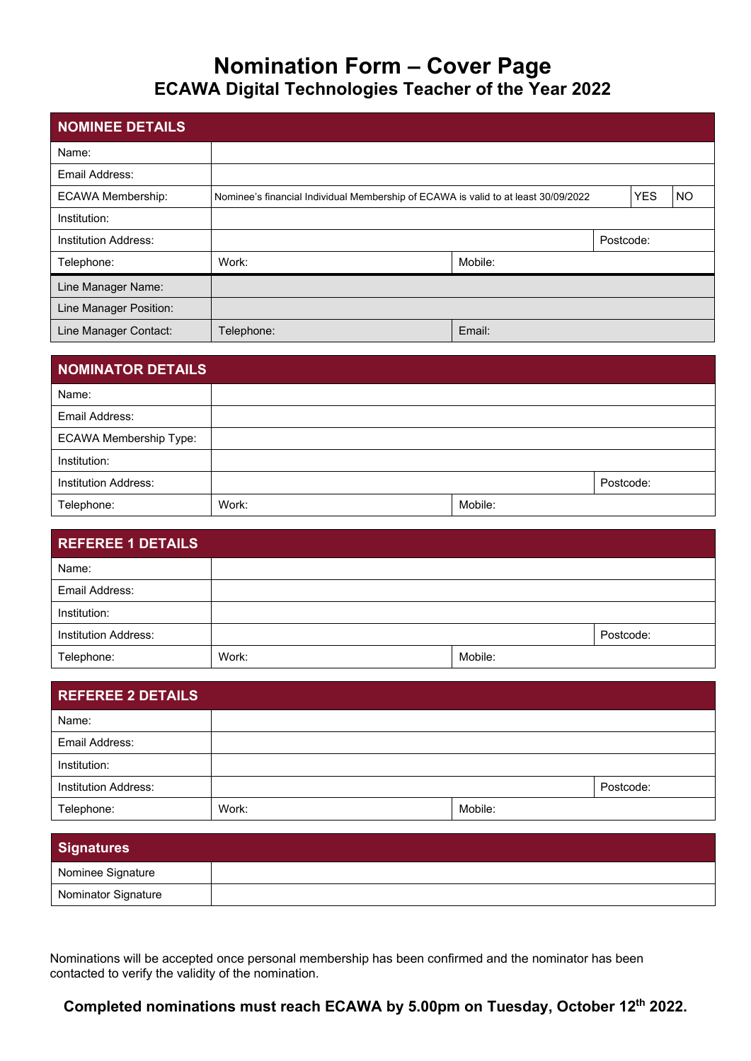# **Nomination Form – Cover Page ECAWA Digital Technologies Teacher of the Year 2022**

| NOMINEE DETAILS             |                                                                                    |         |            |           |  |
|-----------------------------|------------------------------------------------------------------------------------|---------|------------|-----------|--|
| Name:                       |                                                                                    |         |            |           |  |
| Email Address:              |                                                                                    |         |            |           |  |
| <b>ECAWA Membership:</b>    | Nominee's financial Individual Membership of ECAWA is valid to at least 30/09/2022 |         | <b>YES</b> | <b>NO</b> |  |
| Institution:                |                                                                                    |         |            |           |  |
| <b>Institution Address:</b> |                                                                                    |         | Postcode:  |           |  |
| Telephone:                  | Work:                                                                              | Mobile: |            |           |  |
| Line Manager Name:          |                                                                                    |         |            |           |  |
| Line Manager Position:      |                                                                                    |         |            |           |  |
| Line Manager Contact:       | Telephone:                                                                         | Email:  |            |           |  |

| <b>NOMINATOR DETAILS</b>      |       |         |           |
|-------------------------------|-------|---------|-----------|
| Name:                         |       |         |           |
| Email Address:                |       |         |           |
| <b>ECAWA Membership Type:</b> |       |         |           |
| Institution:                  |       |         |           |
| <b>Institution Address:</b>   |       |         | Postcode: |
| Telephone:                    | Work: | Mobile: |           |

| <b>REFEREE 1 DETAILS</b>    |       |         |           |
|-----------------------------|-------|---------|-----------|
| Name:                       |       |         |           |
| Email Address:              |       |         |           |
| Institution:                |       |         |           |
| <b>Institution Address:</b> |       |         | Postcode: |
| Telephone:                  | Work: | Mobile: |           |

| <b>REFEREE 2 DETAILS</b>    |       |         |           |
|-----------------------------|-------|---------|-----------|
| Name:                       |       |         |           |
| Email Address:              |       |         |           |
| Institution:                |       |         |           |
| <b>Institution Address:</b> |       |         | Postcode: |
| Telephone:                  | Work: | Mobile: |           |

| <b>Signatures</b>   |  |
|---------------------|--|
| Nominee Signature   |  |
| Nominator Signature |  |

Nominations will be accepted once personal membership has been confirmed and the nominator has been contacted to verify the validity of the nomination.

## **Completed nominations must reach ECAWA by 5.00pm on Tuesday, October 12th 2022.**